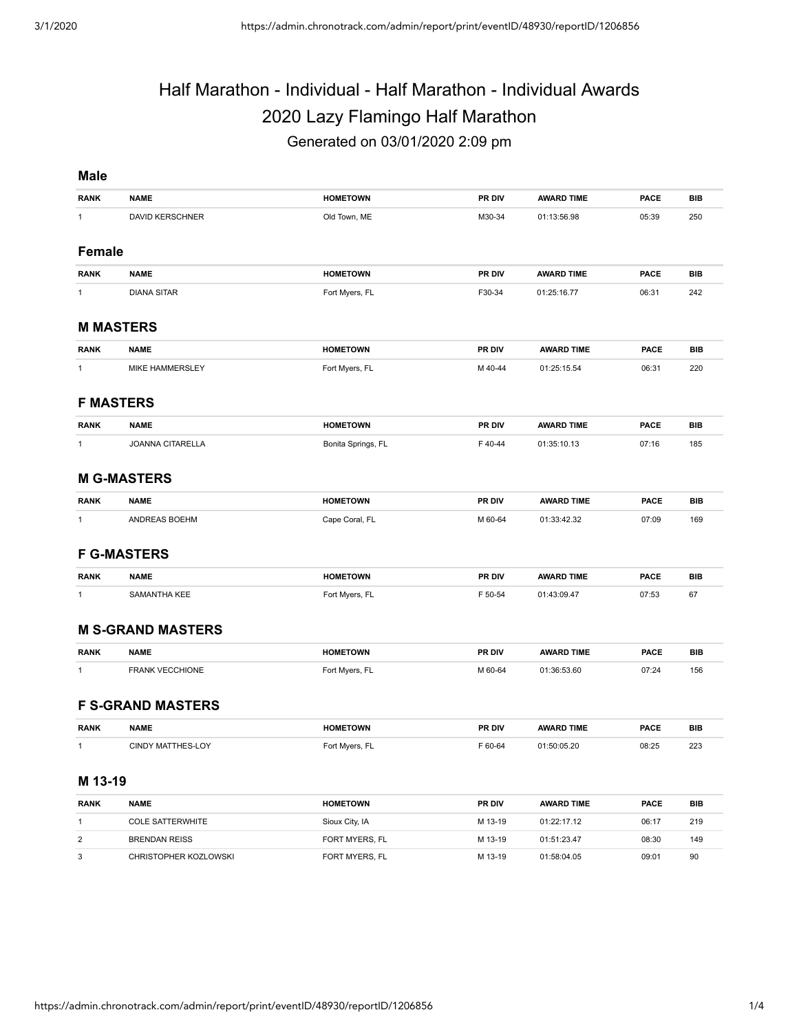# Half Marathon - Individual - Half Marathon - Individual Awards 2020 Lazy Flamingo Half Marathon Generated on 03/01/2020 2:09 pm

#### **Male**

| <b>RANK</b>   | <b>NAME</b>              | <b>HOMETOWN</b>    | PR DIV  | <b>AWARD TIME</b> | <b>PACE</b> | <b>BIB</b> |
|---------------|--------------------------|--------------------|---------|-------------------|-------------|------------|
| $\mathbf{1}$  | <b>DAVID KERSCHNER</b>   | Old Town, ME       | M30-34  | 01:13:56.98       | 05:39       | 250        |
|               |                          |                    |         |                   |             |            |
| <b>Female</b> |                          |                    |         |                   |             |            |
| <b>RANK</b>   | <b>NAME</b>              | <b>HOMETOWN</b>    | PR DIV  | <b>AWARD TIME</b> | <b>PACE</b> | <b>BIB</b> |
| $\mathbf{1}$  | <b>DIANA SITAR</b>       | Fort Myers, FL     | F30-34  | 01:25:16.77       | 06:31       | 242        |
|               | <b>M MASTERS</b>         |                    |         |                   |             |            |
| <b>RANK</b>   | <b>NAME</b>              | <b>HOMETOWN</b>    | PR DIV  | <b>AWARD TIME</b> | <b>PACE</b> | <b>BIB</b> |
| $\mathbf{1}$  | MIKE HAMMERSLEY          | Fort Myers, FL     | M 40-44 | 01:25:15.54       | 06:31       | 220        |
|               | <b>F MASTERS</b>         |                    |         |                   |             |            |
| <b>RANK</b>   | <b>NAME</b>              | <b>HOMETOWN</b>    | PR DIV  | <b>AWARD TIME</b> | <b>PACE</b> | <b>BIB</b> |
| 1             | <b>JOANNA CITARELLA</b>  | Bonita Springs, FL | F40-44  | 01:35:10.13       | 07:16       | 185        |
|               |                          |                    |         |                   |             |            |
|               | <b>M G-MASTERS</b>       |                    |         |                   |             |            |
| <b>RANK</b>   | <b>NAME</b>              | <b>HOMETOWN</b>    | PR DIV  | <b>AWARD TIME</b> | <b>PACE</b> | <b>BIB</b> |
| $\mathbf{1}$  | ANDREAS BOEHM            | Cape Coral, FL     | M 60-64 | 01:33:42.32       | 07:09       | 169        |
|               | <b>F G-MASTERS</b>       |                    |         |                   |             |            |
| <b>RANK</b>   | <b>NAME</b>              | <b>HOMETOWN</b>    | PR DIV  | <b>AWARD TIME</b> | <b>PACE</b> | <b>BIB</b> |
| $\mathbf{1}$  | SAMANTHA KEE             | Fort Myers, FL     | F 50-54 | 01:43:09.47       | 07:53       | 67         |
|               |                          |                    |         |                   |             |            |
|               | <b>M S-GRAND MASTERS</b> |                    |         |                   |             |            |
| <b>RANK</b>   | <b>NAME</b>              | <b>HOMETOWN</b>    | PR DIV  | <b>AWARD TIME</b> | <b>PACE</b> | <b>BIB</b> |
| $\mathbf{1}$  | FRANK VECCHIONE          | Fort Myers, FL     | M 60-64 | 01:36:53.60       | 07:24       | 156        |
|               |                          |                    |         |                   |             |            |
|               | <b>F S-GRAND MASTERS</b> |                    |         |                   |             |            |
| <b>RANK</b>   | <b>NAME</b>              | <b>HOMETOWN</b>    | PR DIV  | <b>AWARD TIME</b> | <b>PACE</b> | <b>BIB</b> |
| $\mathbf{1}$  | CINDY MATTHES-LOY        | Fort Myers, FL     | F 60-64 | 01:50:05.20       | 08:25       | 223        |
|               |                          |                    |         |                   |             |            |
| M 13-19       |                          |                    |         |                   |             |            |

| <b>RANK</b> | <b>NAME</b>             | <b>HOMETOWN</b> | <b>PR DIV</b> | <b>AWARD TIME</b> | <b>PACE</b> | BIB |
|-------------|-------------------------|-----------------|---------------|-------------------|-------------|-----|
|             | <b>COLE SATTERWHITE</b> | Sioux City, IA  | M 13-19       | 01:22:17.12       | 06:17       | 219 |
|             | <b>BRENDAN REISS</b>    | FORT MYERS, FL  | M 13-19       | 01:51:23.47       | 08:30       | 149 |
| 3           | CHRISTOPHER KOZLOWSKI   | FORT MYERS, FL  | M 13-19       | 01:58:04.05       | 09:01       | 90  |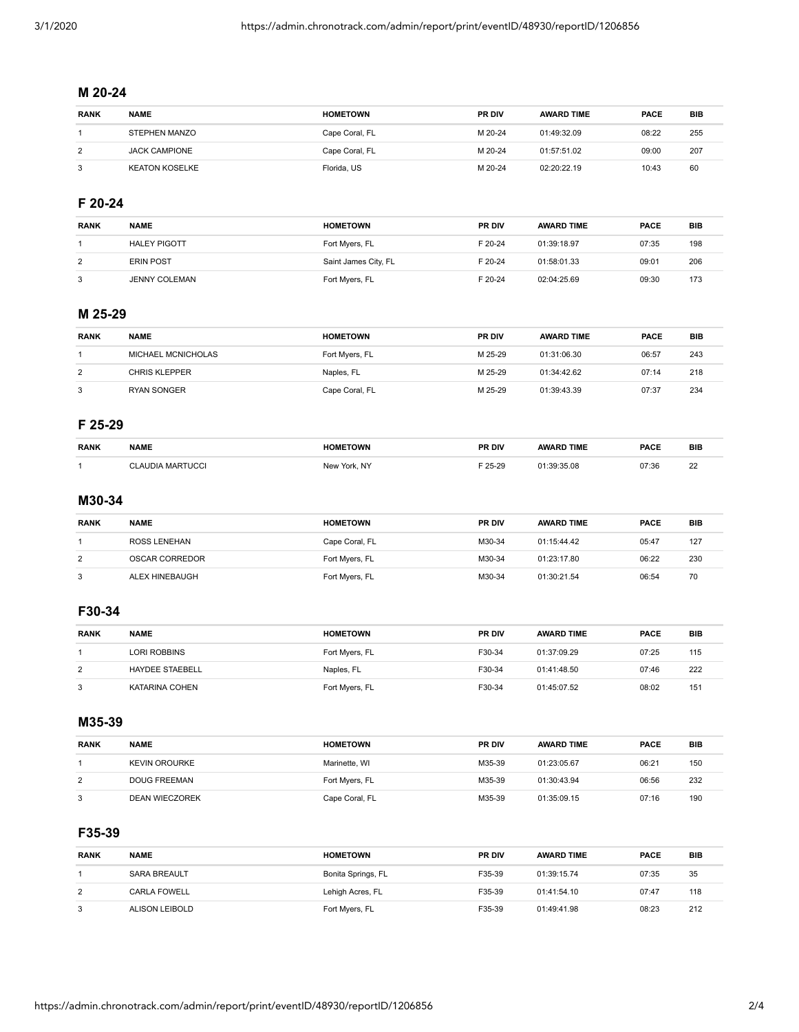# **M 20-24**

| <b>RANK</b> | <b>NAME</b>          | <b>HOMETOWN</b> | <b>PR DIV</b> | <b>AWARD TIME</b> | <b>PACE</b> | BIB |
|-------------|----------------------|-----------------|---------------|-------------------|-------------|-----|
|             | STEPHEN MANZO        | Cape Coral, FL  | M 20-24       | 01:49:32.09       | 08:22       | 255 |
| 2           | <b>JACK CAMPIONE</b> | Cape Coral, FL  | M 20-24       | 01:57:51.02       | 09:00       | 207 |
| 3           | KEATON KOSELKE       | Florida, US     | M 20-24       | 02:20:22.19       | 10:43       | 60  |

## **F 20-24**

| <b>RANK</b> | <b>NAME</b>          | <b>HOMETOWN</b>      | <b>PR DIV</b> | <b>AWARD TIME</b> | <b>PACE</b> | <b>BIB</b> |
|-------------|----------------------|----------------------|---------------|-------------------|-------------|------------|
|             | <b>HALEY PIGOTT</b>  | Fort Myers, FL       | F 20-24       | 01:39:18.97       | 07:35       | 198        |
| 2           | <b>ERIN POST</b>     | Saint James City, FL | F 20-24       | 01:58:01.33       | 09:01       | 206        |
| 3           | <b>JENNY COLEMAN</b> | Fort Myers, FL       | F 20-24       | 02:04:25.69       | 09:30       | 173        |

## **M 25-29**

| <b>RANK</b> | <b>NAME</b>        | <b>HOMETOWN</b> | <b>PR DIV</b> | <b>AWARD TIME</b> | <b>PACE</b> | BIB |
|-------------|--------------------|-----------------|---------------|-------------------|-------------|-----|
|             | MICHAEL MCNICHOLAS | Fort Myers, FL  | M 25-29       | 01:31:06.30       | 06:57       | 243 |
| 2           | CHRIS KLEPPER      | Naples, FL      | M 25-29       | 01:34:42.62       | 07:14       | 218 |
| 3           | <b>RYAN SONGER</b> | Cape Coral, FL  | M 25-29       | 01:39:43.39       | 07:37       | 234 |

#### **F 25-29**

| <b>RANK</b> | <b>NAME</b>               | <b>HOMETOWN</b> | PR DIV      | AWARD TIME | <b>PACE</b> | <b>BIB</b>          |
|-------------|---------------------------|-----------------|-------------|------------|-------------|---------------------|
|             |                           |                 |             |            |             |                     |
|             | <b>DIA MARTUCCI</b><br>ΔI | New York, NY    | $= 25 - 29$ | 9:35.08    | 07:36       | $\sim$<br><u>__</u> |

## **M30-34**

| <b>RANK</b> | <b>NAME</b>    | <b>HOMETOWN</b> | <b>PR DIV</b> | <b>AWARD TIME</b> | <b>PACE</b> | BIB |
|-------------|----------------|-----------------|---------------|-------------------|-------------|-----|
|             | ROSS LENEHAN   | Cape Coral, FL  | M30-34        | 01:15:44.42       | 05:47       | 127 |
| 2           | OSCAR CORREDOR | Fort Myers, FL  | M30-34        | 01:23:17.80       | 06:22       | 230 |
| 3           | ALEX HINEBAUGH | Fort Myers, FL  | M30-34        | 01:30:21.54       | 06:54       | 70  |

# **F30-34**

| <b>RANK</b> | <b>NAME</b>            | <b>HOMETOWN</b> | <b>PR DIV</b> | <b>AWARD TIME</b> | <b>PACE</b> | BIB |
|-------------|------------------------|-----------------|---------------|-------------------|-------------|-----|
|             | LORI ROBBINS           | Fort Myers, FL  | F30-34        | 01:37:09.29       | 07:25       | 115 |
| 2           | <b>HAYDEE STAEBELL</b> | Naples, FL      | F30-34        | 01:41:48.50       | 07:46       | 222 |
| 3           | KATARINA COHEN         | Fort Myers, FL  | F30-34        | 01:45:07.52       | 08:02       | 151 |

# **M35-39**

| <b>RANK</b> | <b>NAME</b>           | <b>HOMETOWN</b> | <b>PR DIV</b> | <b>AWARD TIME</b> | <b>PACE</b> | BIB |
|-------------|-----------------------|-----------------|---------------|-------------------|-------------|-----|
|             | <b>KEVIN OROURKE</b>  | Marinette, WI   | M35-39        | 01:23:05.67       | 06:21       | 150 |
| 2           | DOUG FREEMAN          | Fort Myers, FL  | M35-39        | 01:30:43.94       | 06:56       | 232 |
| 3           | <b>DEAN WIECZOREK</b> | Cape Coral, FL  | M35-39        | 01:35:09.15       | 07:16       | 190 |

## **F35-39**

| <b>RANK</b> | <b>NAME</b>         | <b>HOMETOWN</b>    | <b>PR DIV</b> | <b>AWARD TIME</b> | <b>PACE</b> | BIB |
|-------------|---------------------|--------------------|---------------|-------------------|-------------|-----|
|             | <b>SARA BREAULT</b> | Bonita Springs, FL | F35-39        | 01:39:15.74       | 07:35       | 35  |
| 2           | <b>CARLA FOWELL</b> | Lehigh Acres, FL   | F35-39        | 01:41:54.10       | 07:47       | 118 |
| 3           | ALISON LEIBOLD      | Fort Myers, FL     | F35-39        | 01:49:41.98       | 08:23       | 212 |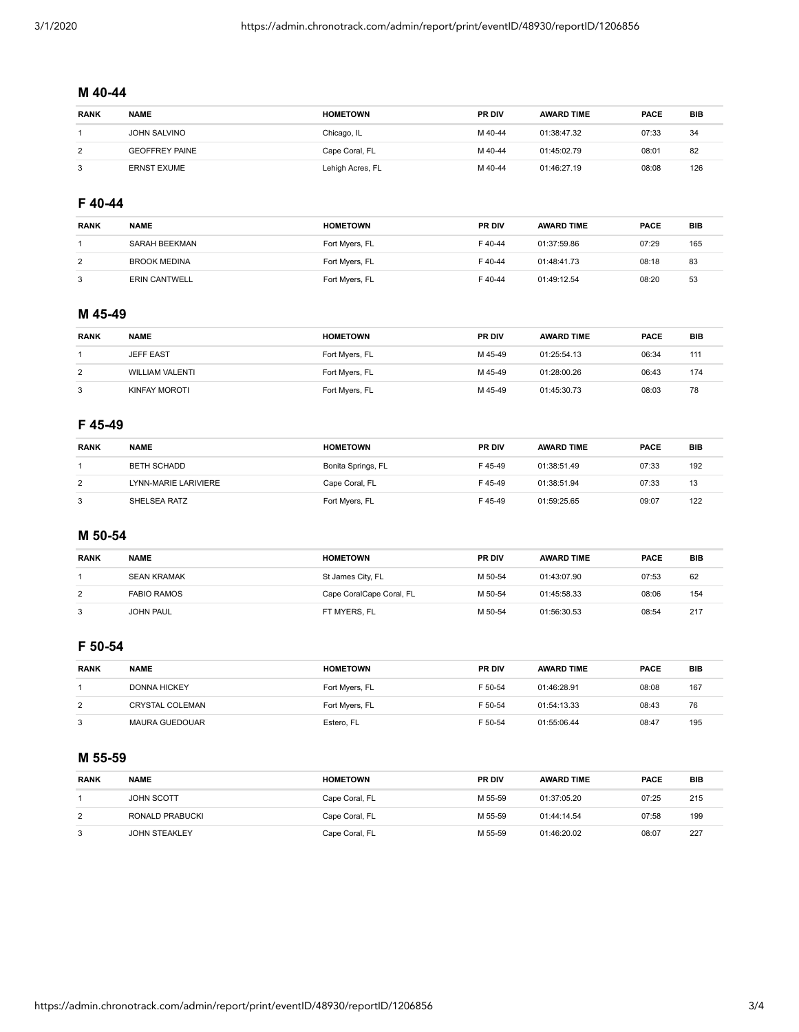## **M 40-44**

| <b>RANK</b> | <b>NAME</b>           | <b>HOMETOWN</b>  | <b>PR DIV</b> | <b>AWARD TIME</b> | <b>PACE</b> | BIB |
|-------------|-----------------------|------------------|---------------|-------------------|-------------|-----|
|             | JOHN SALVINO          | Chicago, IL      | M 40-44       | 01:38:47.32       | 07:33       | 34  |
| 2           | <b>GEOFFREY PAINE</b> | Cape Coral, FL   | M 40-44       | 01:45:02.79       | 08:01       | 82  |
| 3           | <b>ERNST EXUME</b>    | Lehigh Acres, FL | M 40-44       | 01:46:27.19       | 08:08       | 126 |

# **F 40-44**

| <b>RANK</b> | <b>NAME</b>          | <b>HOMETOWN</b> | <b>PR DIV</b> | <b>AWARD TIME</b> | <b>PACE</b> | <b>BIB</b> |
|-------------|----------------------|-----------------|---------------|-------------------|-------------|------------|
|             | SARAH BEEKMAN        | Fort Myers, FL  | F40-44        | 01:37:59.86       | 07:29       | 165        |
| 2           | <b>BROOK MEDINA</b>  | Fort Myers, FL  | F40-44        | 01:48:41.73       | 08:18       | 83         |
| 3           | <b>ERIN CANTWELL</b> | Fort Myers, FL  | F40-44        | 01:49:12.54       | 08:20       | 53         |

## **M 45-49**

| <b>RANK</b> | <b>NAME</b>            | <b>HOMETOWN</b> | <b>PR DIV</b> | <b>AWARD TIME</b> | <b>PACE</b> | BIB |
|-------------|------------------------|-----------------|---------------|-------------------|-------------|-----|
|             | <b>JEFF EAST</b>       | Fort Myers, FL  | M 45-49       | 01:25:54.13       | 06:34       | 111 |
| 2           | <b>WILLIAM VALENTI</b> | Fort Myers, FL  | M 45-49       | 01:28:00.26       | 06:43       | 174 |
| 3           | KINFAY MOROTI          | Fort Myers, FL  | M 45-49       | 01:45:30.73       | 08:03       | 78  |

#### **F 45-49**

| <b>RANK</b> | <b>NAME</b>          | <b>HOMETOWN</b>    | <b>PR DIV</b> | <b>AWARD TIME</b> | <b>PACE</b> | BIB |
|-------------|----------------------|--------------------|---------------|-------------------|-------------|-----|
|             | BETH SCHADD          | Bonita Springs, FL | F45-49        | 01:38:51.49       | 07:33       | 192 |
| 2           | LYNN-MARIE LARIVIERE | Cape Coral, FL     | F45-49        | 01:38:51.94       | 07:33       | 13  |
| 3           | SHELSEA RATZ         | Fort Myers, FL     | F45-49        | 01:59:25.65       | 09:07       | 122 |

# **M 50-54**

| <b>RANK</b> | <b>NAME</b>        | <b>HOMETOWN</b>          | <b>PR DIV</b> | <b>AWARD TIME</b> | <b>PACE</b> | BIB |
|-------------|--------------------|--------------------------|---------------|-------------------|-------------|-----|
|             | <b>SEAN KRAMAK</b> | St James City, FL        | M 50-54       | 01:43:07.90       | 07:53       | 62  |
| 2           | <b>FABIO RAMOS</b> | Cape CoralCape Coral, FL | M 50-54       | 01:45:58.33       | 08:06       | 154 |
| 3           | <b>JOHN PAUL</b>   | FT MYERS, FL             | M 50-54       | 01:56:30.53       | 08:54       | 217 |

#### **F 50-54**

| <b>RANK</b> | <b>NAME</b>           | <b>HOMETOWN</b> | <b>PR DIV</b> | <b>AWARD TIME</b> | <b>PACE</b> | BIB |
|-------------|-----------------------|-----------------|---------------|-------------------|-------------|-----|
|             | <b>DONNA HICKEY</b>   | Fort Myers, FL  | F 50-54       | 01:46:28.91       | 08:08       | 167 |
| 2           | CRYSTAL COLEMAN       | Fort Myers, FL  | F 50-54       | 01:54:13.33       | 08:43       | 76  |
| 3           | <b>MAURA GUEDOUAR</b> | Estero, FL      | F 50-54       | 01:55:06.44       | 08:47       | 195 |

#### **M 55-59**

| <b>RANK</b> | <b>NAME</b>          | <b>HOMETOWN</b> | <b>PR DIV</b> | <b>AWARD TIME</b> | <b>PACE</b> | <b>BIB</b> |
|-------------|----------------------|-----------------|---------------|-------------------|-------------|------------|
|             | <b>JOHN SCOTT</b>    | Cape Coral, FL  | M 55-59       | 01:37:05.20       | 07:25       | 215        |
| 2           | RONALD PRABUCKI      | Cape Coral, FL  | M 55-59       | 01:44:14.54       | 07:58       | 199        |
| 3           | <b>JOHN STEAKLEY</b> | Cape Coral, FL  | M 55-59       | 01:46:20.02       | 08:07       | 227        |